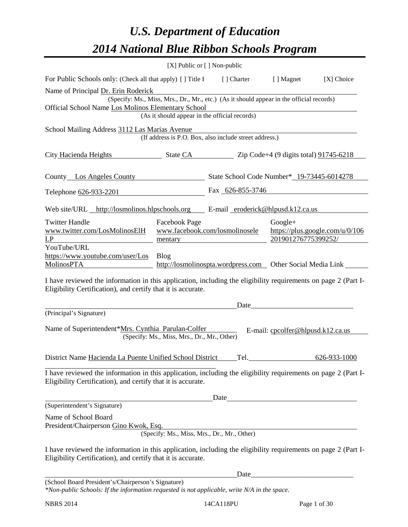# *U.S. Department of Education 2014 National Blue Ribbon Schools Program*

| [X] Public or [] Non-public                                                                                                                                                    |                                                                                                                                                |                                                            |                                   |              |  |  |  |
|--------------------------------------------------------------------------------------------------------------------------------------------------------------------------------|------------------------------------------------------------------------------------------------------------------------------------------------|------------------------------------------------------------|-----------------------------------|--------------|--|--|--|
| For Public Schools only: (Check all that apply) [] Title I                                                                                                                     |                                                                                                                                                | [ ] Charter                                                | [ ] Magnet                        | [X] Choice   |  |  |  |
| Name of Principal Dr. Erin Roderick                                                                                                                                            |                                                                                                                                                |                                                            |                                   |              |  |  |  |
|                                                                                                                                                                                | (Specify: Ms., Miss, Mrs., Dr., Mr., etc.) (As it should appear in the official records)<br>Official School Name Los Molinos Elementary School |                                                            |                                   |              |  |  |  |
|                                                                                                                                                                                | (As it should appear in the official records)                                                                                                  |                                                            |                                   |              |  |  |  |
| School Mailing Address 3112 Las Marias Avenue                                                                                                                                  |                                                                                                                                                | (If address is P.O. Box, also include street address.)     |                                   |              |  |  |  |
| City Hacienda Heights<br>$\frac{1}{2}$ State CA $\frac{1}{2}$ Zip Code+4 (9 digits total) $\frac{91745 - 6218}{2}$                                                             |                                                                                                                                                |                                                            |                                   |              |  |  |  |
| County Los Angeles County                                                                                                                                                      |                                                                                                                                                | State School Code Number* 19-73445-6014278                 |                                   |              |  |  |  |
| Telephone 626-933-2201                                                                                                                                                         |                                                                                                                                                | Fax 626-855-3746                                           |                                   |              |  |  |  |
| Web site/URL http://losmolinos.hlpschools.org E-mail eroderick@hlpusd.k12.ca.us                                                                                                |                                                                                                                                                |                                                            |                                   |              |  |  |  |
| <b>Twitter Handle</b><br>www.twitter.com/LosMolinosElH<br>LP                                                                                                                   | <b>Facebook Page</b><br>Google+<br>www.facebook.com/losmolinosele<br>https://plus.google.com/u/0/106<br>201901276775399252/<br>mentary         |                                                            |                                   |              |  |  |  |
| YouTube/URL<br>https://www.youtube.com/user/Los<br><b>MolinosPTA</b>                                                                                                           | <b>Blog</b>                                                                                                                                    | http://losmolinospta.wordpress.com Other Social Media Link |                                   |              |  |  |  |
| I have reviewed the information in this application, including the eligibility requirements on page 2 (Part I-<br>Eligibility Certification), and certify that it is accurate. |                                                                                                                                                |                                                            |                                   |              |  |  |  |
|                                                                                                                                                                                |                                                                                                                                                | Date                                                       |                                   |              |  |  |  |
| (Principal's Signature)                                                                                                                                                        |                                                                                                                                                |                                                            |                                   |              |  |  |  |
| Name of Superintendent*Mrs. Cynthia Parulan-Colfer                                                                                                                             | (Specify: Ms., Miss, Mrs., Dr., Mr., Other)                                                                                                    |                                                            | E-mail: cpcolfer@hlpusd.k12.ca.us |              |  |  |  |
| District Name Hacienda La Puente Unified School District                                                                                                                       |                                                                                                                                                | Tel.                                                       |                                   | 626-933-1000 |  |  |  |
| I have reviewed the information in this application, including the eligibility requirements on page 2 (Part I-<br>Eligibility Certification), and certify that it is accurate. |                                                                                                                                                |                                                            |                                   |              |  |  |  |
|                                                                                                                                                                                |                                                                                                                                                |                                                            |                                   |              |  |  |  |
| (Superintendent's Signature)                                                                                                                                                   |                                                                                                                                                |                                                            |                                   |              |  |  |  |
| Name of School Board<br>President/Chairperson Gino Kwok, Esq.                                                                                                                  | (Specify: Ms., Miss, Mrs., Dr., Mr., Other)                                                                                                    |                                                            |                                   |              |  |  |  |
| I have reviewed the information in this application, including the eligibility requirements on page 2 (Part I-<br>Eligibility Certification), and certify that it is accurate. |                                                                                                                                                |                                                            |                                   |              |  |  |  |
|                                                                                                                                                                                |                                                                                                                                                | Date_                                                      |                                   |              |  |  |  |

(School Board President's/Chairperson's Signature)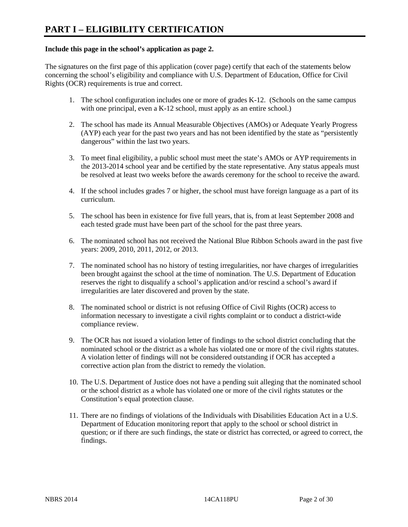#### **Include this page in the school's application as page 2.**

The signatures on the first page of this application (cover page) certify that each of the statements below concerning the school's eligibility and compliance with U.S. Department of Education, Office for Civil Rights (OCR) requirements is true and correct.

- 1. The school configuration includes one or more of grades K-12. (Schools on the same campus with one principal, even a K-12 school, must apply as an entire school.)
- 2. The school has made its Annual Measurable Objectives (AMOs) or Adequate Yearly Progress (AYP) each year for the past two years and has not been identified by the state as "persistently dangerous" within the last two years.
- 3. To meet final eligibility, a public school must meet the state's AMOs or AYP requirements in the 2013-2014 school year and be certified by the state representative. Any status appeals must be resolved at least two weeks before the awards ceremony for the school to receive the award.
- 4. If the school includes grades 7 or higher, the school must have foreign language as a part of its curriculum.
- 5. The school has been in existence for five full years, that is, from at least September 2008 and each tested grade must have been part of the school for the past three years.
- 6. The nominated school has not received the National Blue Ribbon Schools award in the past five years: 2009, 2010, 2011, 2012, or 2013.
- 7. The nominated school has no history of testing irregularities, nor have charges of irregularities been brought against the school at the time of nomination. The U.S. Department of Education reserves the right to disqualify a school's application and/or rescind a school's award if irregularities are later discovered and proven by the state.
- 8. The nominated school or district is not refusing Office of Civil Rights (OCR) access to information necessary to investigate a civil rights complaint or to conduct a district-wide compliance review.
- 9. The OCR has not issued a violation letter of findings to the school district concluding that the nominated school or the district as a whole has violated one or more of the civil rights statutes. A violation letter of findings will not be considered outstanding if OCR has accepted a corrective action plan from the district to remedy the violation.
- 10. The U.S. Department of Justice does not have a pending suit alleging that the nominated school or the school district as a whole has violated one or more of the civil rights statutes or the Constitution's equal protection clause.
- 11. There are no findings of violations of the Individuals with Disabilities Education Act in a U.S. Department of Education monitoring report that apply to the school or school district in question; or if there are such findings, the state or district has corrected, or agreed to correct, the findings.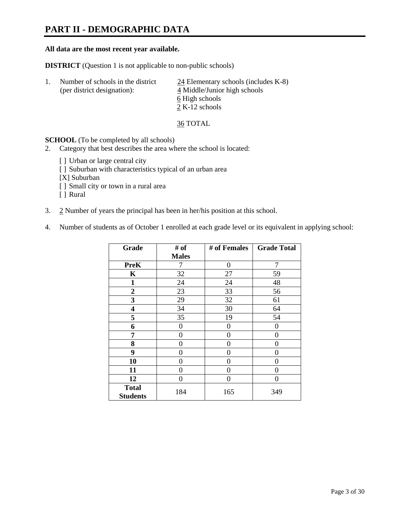### **PART II - DEMOGRAPHIC DATA**

#### **All data are the most recent year available.**

**DISTRICT** (Question 1 is not applicable to non-public schools)

| $\perp$ | Number of schools in the district<br>(per district designation): | $24$ Elementary schools (includes K-8)<br>4 Middle/Junior high schools<br>6 High schools |
|---------|------------------------------------------------------------------|------------------------------------------------------------------------------------------|
|         |                                                                  | 2 K-12 schools                                                                           |

36 TOTAL

**SCHOOL** (To be completed by all schools)

- 2. Category that best describes the area where the school is located:
	- [] Urban or large central city
	- [ ] Suburban with characteristics typical of an urban area
	- [X] Suburban
	- [ ] Small city or town in a rural area
	- [ ] Rural
- 3. 2 Number of years the principal has been in her/his position at this school.
- 4. Number of students as of October 1 enrolled at each grade level or its equivalent in applying school:

| Grade                           | # of         | # of Females | <b>Grade Total</b> |
|---------------------------------|--------------|--------------|--------------------|
|                                 | <b>Males</b> |              |                    |
| <b>PreK</b>                     | 7            | $\theta$     | 7                  |
| K                               | 32           | 27           | 59                 |
| $\mathbf{1}$                    | 24           | 24           | 48                 |
| $\overline{2}$                  | 23           | 33           | 56                 |
| 3                               | 29           | 32           | 61                 |
| 4                               | 34           | 30           | 64                 |
| 5                               | 35           | 19           | 54                 |
| 6                               | 0            | 0            | $\theta$           |
| 7                               | 0            | 0            | 0                  |
| 8                               | 0            | 0            | 0                  |
| 9                               | 0            | 0            | 0                  |
| 10                              | 0            | 0            | 0                  |
| 11                              | 0            | 0            | 0                  |
| 12                              | 0            | $\theta$     | 0                  |
| <b>Total</b><br><b>Students</b> | 184          | 165          | 349                |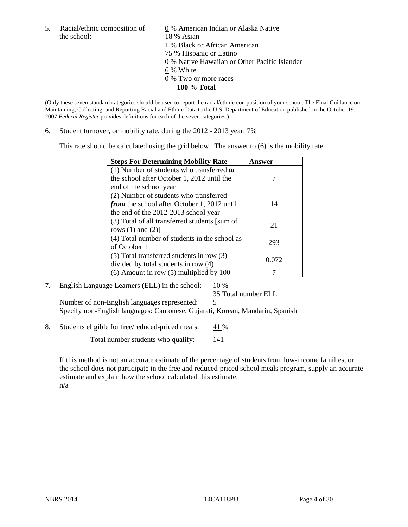the school: 18 % Asian

5. Racial/ethnic composition of  $\qquad \qquad \underline{0}$  % American Indian or Alaska Native 1 % Black or African American 75 % Hispanic or Latino 0 % Native Hawaiian or Other Pacific Islander 6 % White 0 % Two or more races **100 % Total** 

(Only these seven standard categories should be used to report the racial/ethnic composition of your school. The Final Guidance on Maintaining, Collecting, and Reporting Racial and Ethnic Data to the U.S. Department of Education published in the October 19, 2007 *Federal Register* provides definitions for each of the seven categories.)

6. Student turnover, or mobility rate, during the 2012 - 2013 year: 7%

This rate should be calculated using the grid below. The answer to (6) is the mobility rate.

| <b>Steps For Determining Mobility Rate</b>         | Answer |
|----------------------------------------------------|--------|
| (1) Number of students who transferred to          |        |
| the school after October 1, 2012 until the         |        |
| end of the school year                             |        |
| (2) Number of students who transferred             |        |
| <i>from</i> the school after October 1, 2012 until | 14     |
| the end of the 2012-2013 school year               |        |
| (3) Total of all transferred students [sum of      | 21     |
| rows $(1)$ and $(2)$ ]                             |        |
| (4) Total number of students in the school as      | 293    |
| of October 1                                       |        |
| $(5)$ Total transferred students in row $(3)$      | 0.072  |
| divided by total students in row (4)               |        |
| $(6)$ Amount in row $(5)$ multiplied by 100        |        |

#### 7. English Language Learners (ELL) in the school:  $10\%$ 35 Total number ELL

Number of non-English languages represented: 5 Specify non-English languages: Cantonese, Gujarati, Korean, Mandarin, Spanish

8. Students eligible for free/reduced-priced meals:  $41\%$ 

Total number students who qualify:  $141$ 

If this method is not an accurate estimate of the percentage of students from low-income families, or the school does not participate in the free and reduced-priced school meals program, supply an accurate estimate and explain how the school calculated this estimate. n/a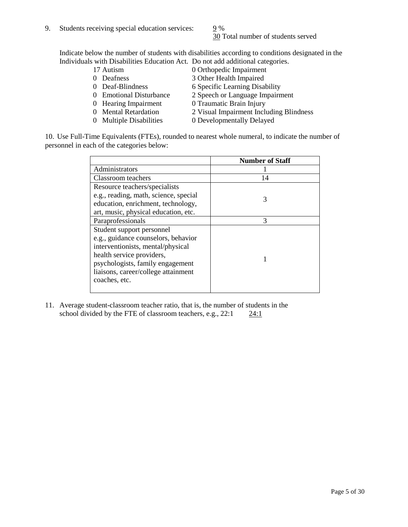30 Total number of students served

Indicate below the number of students with disabilities according to conditions designated in the Individuals with Disabilities Education Act. Do not add additional categories.

- 
- 
- 
- 
- 
- 
- 
- 17 Autism 0 Orthopedic Impairment<br>0 Deafness 3 Other Health Impaired 3 Other Health Impaired
- 0 Deaf-Blindness 6 Specific Learning Disability
- 0 Emotional Disturbance 2 Speech or Language Impairment
- 0 Hearing Impairment 0 Traumatic Brain Injury
- 0 Mental Retardation 2 Visual Impairment Including Blindness
- 0 Multiple Disabilities 0 Developmentally Delayed

10. Use Full-Time Equivalents (FTEs), rounded to nearest whole numeral, to indicate the number of personnel in each of the categories below:

|                                       | <b>Number of Staff</b> |
|---------------------------------------|------------------------|
| Administrators                        |                        |
| Classroom teachers                    | 14                     |
| Resource teachers/specialists         |                        |
| e.g., reading, math, science, special | 3                      |
| education, enrichment, technology,    |                        |
| art, music, physical education, etc.  |                        |
| Paraprofessionals                     | 3                      |
| Student support personnel             |                        |
| e.g., guidance counselors, behavior   |                        |
| interventionists, mental/physical     |                        |
| health service providers,             |                        |
| psychologists, family engagement      |                        |
| liaisons, career/college attainment   |                        |
| coaches, etc.                         |                        |
|                                       |                        |

11. Average student-classroom teacher ratio, that is, the number of students in the school divided by the FTE of classroom teachers, e.g.,  $22:1$   $24:1$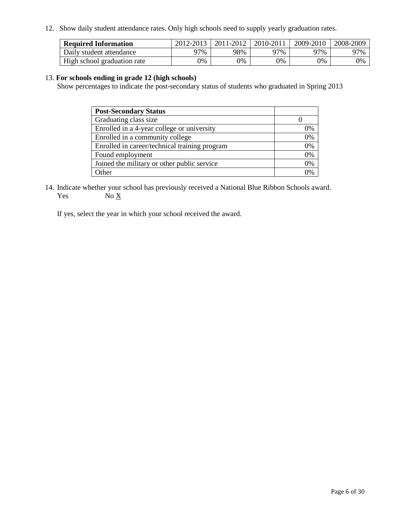12. Show daily student attendance rates. Only high schools need to supply yearly graduation rates.

| <b>Required Information</b> | 2012-2013 | 2011-2012 | 2010-2011 | 2009-2010 | 2008-2009 |
|-----------------------------|-----------|-----------|-----------|-----------|-----------|
| Daily student attendance    | 77%       | 98%       | 27%       | 97%       | 97%       |
| High school graduation rate | 0%        | 9%        | 0%        | 0%        | 0%        |

#### 13. **For schools ending in grade 12 (high schools)**

Show percentages to indicate the post-secondary status of students who graduated in Spring 2013

| <b>Post-Secondary Status</b>                  |    |
|-----------------------------------------------|----|
| Graduating class size                         |    |
| Enrolled in a 4-year college or university    | 0% |
| Enrolled in a community college               | 0% |
| Enrolled in career/technical training program | 0% |
| Found employment                              | 0% |
| Joined the military or other public service   | 0% |
| <b>Ther</b>                                   | 2% |

14. Indicate whether your school has previously received a National Blue Ribbon Schools award. Yes  $No \underline{X}$ 

If yes, select the year in which your school received the award.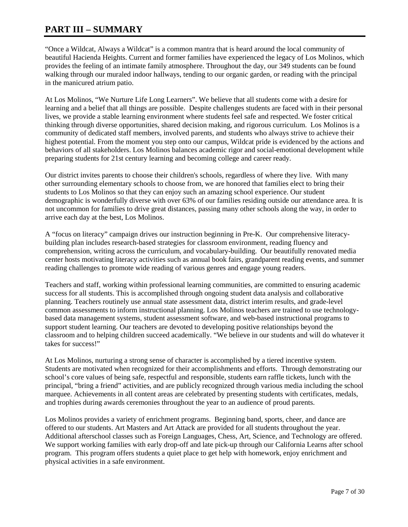### **PART III – SUMMARY**

"Once a Wildcat, Always a Wildcat" is a common mantra that is heard around the local community of beautiful Hacienda Heights. Current and former families have experienced the legacy of Los Molinos, which provides the feeling of an intimate family atmosphere. Throughout the day, our 349 students can be found walking through our muraled indoor hallways, tending to our organic garden, or reading with the principal in the manicured atrium patio.

At Los Molinos, "We Nurture Life Long Learners". We believe that all students come with a desire for learning and a belief that all things are possible. Despite challenges students are faced with in their personal lives, we provide a stable learning environment where students feel safe and respected. We foster critical thinking through diverse opportunities, shared decision making, and rigorous curriculum. Los Molinos is a community of dedicated staff members, involved parents, and students who always strive to achieve their highest potential. From the moment you step onto our campus, Wildcat pride is evidenced by the actions and behaviors of all stakeholders. Los Molinos balances academic rigor and social-emotional development while preparing students for 21st century learning and becoming college and career ready.

Our district invites parents to choose their children's schools, regardless of where they live. With many other surrounding elementary schools to choose from, we are honored that families elect to bring their students to Los Molinos so that they can enjoy such an amazing school experience. Our student demographic is wonderfully diverse with over 63% of our families residing outside our attendance area. It is not uncommon for families to drive great distances, passing many other schools along the way, in order to arrive each day at the best, Los Molinos.

A "focus on literacy" campaign drives our instruction beginning in Pre-K. Our comprehensive literacybuilding plan includes research-based strategies for classroom environment, reading fluency and comprehension, writing across the curriculum, and vocabulary-building. Our beautifully renovated media center hosts motivating literacy activities such as annual book fairs, grandparent reading events, and summer reading challenges to promote wide reading of various genres and engage young readers.

Teachers and staff, working within professional learning communities, are committed to ensuring academic success for all students. This is accomplished through ongoing student data analysis and collaborative planning. Teachers routinely use annual state assessment data, district interim results, and grade-level common assessments to inform instructional planning. Los Molinos teachers are trained to use technologybased data management systems, student assessment software, and web-based instructional programs to support student learning. Our teachers are devoted to developing positive relationships beyond the classroom and to helping children succeed academically. "We believe in our students and will do whatever it takes for success!"

At Los Molinos, nurturing a strong sense of character is accomplished by a tiered incentive system. Students are motivated when recognized for their accomplishments and efforts. Through demonstrating our school's core values of being safe, respectful and responsible, students earn raffle tickets, lunch with the principal, "bring a friend" activities, and are publicly recognized through various media including the school marquee. Achievements in all content areas are celebrated by presenting students with certificates, medals, and trophies during awards ceremonies throughout the year to an audience of proud parents.

Los Molinos provides a variety of enrichment programs. Beginning band, sports, cheer, and dance are offered to our students. Art Masters and Art Attack are provided for all students throughout the year. Additional afterschool classes such as Foreign Languages, Chess, Art, Science, and Technology are offered. We support working families with early drop-off and late pick-up through our California Learns after school program. This program offers students a quiet place to get help with homework, enjoy enrichment and physical activities in a safe environment.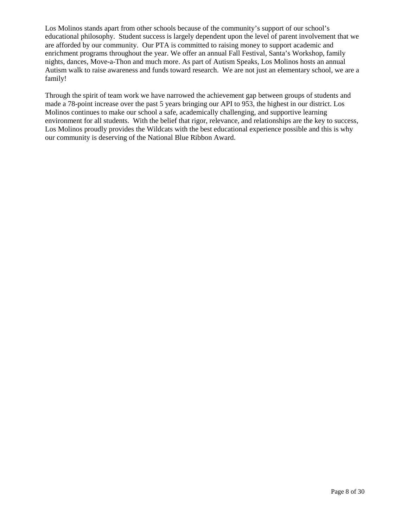Los Molinos stands apart from other schools because of the community's support of our school's educational philosophy. Student success is largely dependent upon the level of parent involvement that we are afforded by our community. Our PTA is committed to raising money to support academic and enrichment programs throughout the year. We offer an annual Fall Festival, Santa's Workshop, family nights, dances, Move-a-Thon and much more. As part of Autism Speaks, Los Molinos hosts an annual Autism walk to raise awareness and funds toward research. We are not just an elementary school, we are a family!

Through the spirit of team work we have narrowed the achievement gap between groups of students and made a 78-point increase over the past 5 years bringing our API to 953, the highest in our district. Los Molinos continues to make our school a safe, academically challenging, and supportive learning environment for all students. With the belief that rigor, relevance, and relationships are the key to success, Los Molinos proudly provides the Wildcats with the best educational experience possible and this is why our community is deserving of the National Blue Ribbon Award.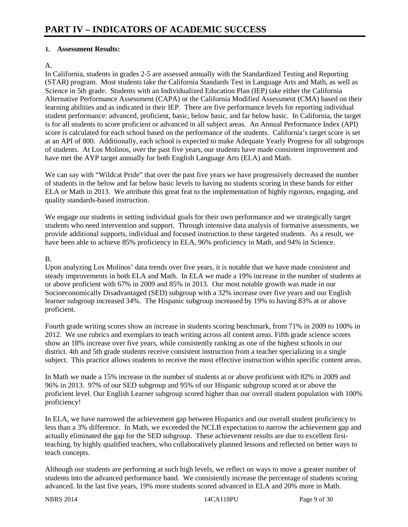#### **1. Assessment Results:**

#### A.

In California, students in grades 2-5 are assessed annually with the Standardized Testing and Reporting (STAR) program. Most students take the California Standards Test in Language Arts and Math, as well as Science in 5th grade. Students with an Individualized Education Plan (IEP) take either the California Alternative Performance Assessment (CAPA) or the California Modified Assessment (CMA) based on their learning abilities and as indicated in their IEP. There are five performance levels for reporting individual student performance: advanced, proficient, basic, below basic, and far below basic. In California, the target is for all students to score proficient or advanced in all subject areas. An Annual Performance Index (API) score is calculated for each school based on the performance of the students. California's target score is set at an API of 800. Additionally, each school is expected to make Adequate Yearly Progress for all subgroups of students. At Los Molinos, over the past five years, our students have made consistent improvement and have met the AYP target annually for both English Language Arts (ELA) and Math.

We can say with "Wildcat Pride" that over the past five years we have progressively decreased the number of students in the below and far below basic levels to having no students scoring in these bands for either ELA or Math in 2013. We attribute this great feat to the implementation of highly rigorous, engaging, and quality standards-based instruction.

We engage our students in setting individual goals for their own performance and we strategically target students who need intervention and support. Through intensive data analysis of formative assessments, we provide additional supports, individual and focused instruction to these targeted students. As a result, we have been able to achieve 85% proficiency in ELA, 96% proficiency in Math, and 94% in Science.

#### B.

Upon analyzing Los Molinos' data trends over five years, it is notable that we have made consistent and steady improvements in both ELA and Math. In ELA we made a 19% increase in the number of students at or above proficient with 67% in 2009 and 85% in 2013. Our most notable growth was made in our Socioeconomically Disadvantaged (SED) subgroup with a 32% increase over five years and our English learner subgroup increased 34%. The Hispanic subgroup increased by 19% to having 83% at or above proficient.

Fourth grade writing scores show an increase in students scoring benchmark, from 71% in 2009 to 100% in 2012. We use rubrics and exemplars to teach writing across all content areas. Fifth grade science scores show an 18% increase over five years, while consistently ranking as one of the highest schools in our district. 4th and 5th grade students receive consistent instruction from a teacher specializing in a single subject. This practice allows students to receive the most effective instruction within specific content areas.

In Math we made a 15% increase in the number of students at or above proficient with 82% in 2009 and 96% in 2013. 97% of our SED subgroup and 95% of our Hispanic subgroup scored at or above the proficient level. Our English Learner subgroup scored higher than our overall student population with 100% proficiency!

In ELA, we have narrowed the achievement gap between Hispanics and our overall student proficiency to less than a 3% difference. In Math, we exceeded the NCLB expectation to narrow the achievement gap and actually eliminated the gap for the SED subgroup. These achievement results are due to excellent firstteaching, by highly qualified teachers, who collaboratively planned lessons and reflected on better ways to teach concepts.

Although our students are performing at such high levels, we reflect on ways to move a greater number of students into the advanced performance band. We consistently increase the percentage of students scoring advanced. In the last five years, 19% more students scored advanced in ELA and 20% more in Math.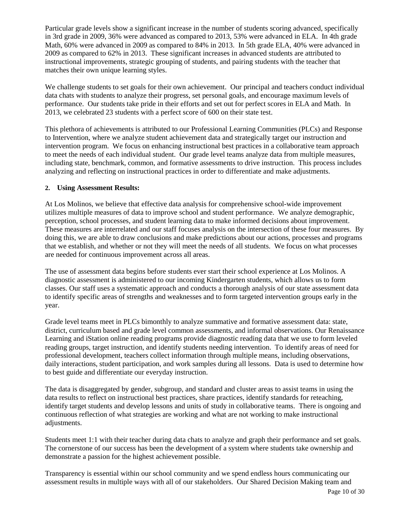Particular grade levels show a significant increase in the number of students scoring advanced, specifically in 3rd grade in 2009, 36% were advanced as compared to 2013, 53% were advanced in ELA. In 4th grade Math, 60% were advanced in 2009 as compared to 84% in 2013. In 5th grade ELA, 40% were advanced in 2009 as compared to 62% in 2013. These significant increases in advanced students are attributed to instructional improvements, strategic grouping of students, and pairing students with the teacher that matches their own unique learning styles.

We challenge students to set goals for their own achievement. Our principal and teachers conduct individual data chats with students to analyze their progress, set personal goals, and encourage maximum levels of performance. Our students take pride in their efforts and set out for perfect scores in ELA and Math. In 2013, we celebrated 23 students with a perfect score of 600 on their state test.

This plethora of achievements is attributed to our Professional Learning Communities (PLCs) and Response to Intervention, where we analyze student achievement data and strategically target our instruction and intervention program. We focus on enhancing instructional best practices in a collaborative team approach to meet the needs of each individual student. Our grade level teams analyze data from multiple measures, including state, benchmark, common, and formative assessments to drive instruction. This process includes analyzing and reflecting on instructional practices in order to differentiate and make adjustments.

#### **2. Using Assessment Results:**

At Los Molinos, we believe that effective data analysis for comprehensive school-wide improvement utilizes multiple measures of data to improve school and student performance. We analyze demographic, perception, school processes, and student learning data to make informed decisions about improvement. These measures are interrelated and our staff focuses analysis on the intersection of these four measures. By doing this, we are able to draw conclusions and make predictions about our actions, processes and programs that we establish, and whether or not they will meet the needs of all students. We focus on what processes are needed for continuous improvement across all areas.

The use of assessment data begins before students ever start their school experience at Los Molinos. A diagnostic assessment is administered to our incoming Kindergarten students, which allows us to form classes. Our staff uses a systematic approach and conducts a thorough analysis of our state assessment data to identify specific areas of strengths and weaknesses and to form targeted intervention groups early in the year.

Grade level teams meet in PLCs bimonthly to analyze summative and formative assessment data: state, district, curriculum based and grade level common assessments, and informal observations. Our Renaissance Learning and iStation online reading programs provide diagnostic reading data that we use to form leveled reading groups, target instruction, and identify students needing intervention. To identify areas of need for professional development, teachers collect information through multiple means, including observations, daily interactions, student participation, and work samples during all lessons. Data is used to determine how to best guide and differentiate our everyday instruction.

The data is disaggregated by gender, subgroup, and standard and cluster areas to assist teams in using the data results to reflect on instructional best practices, share practices, identify standards for reteaching, identify target students and develop lessons and units of study in collaborative teams. There is ongoing and continuous reflection of what strategies are working and what are not working to make instructional adjustments.

Students meet 1:1 with their teacher during data chats to analyze and graph their performance and set goals. The cornerstone of our success has been the development of a system where students take ownership and demonstrate a passion for the highest achievement possible.

Transparency is essential within our school community and we spend endless hours communicating our assessment results in multiple ways with all of our stakeholders. Our Shared Decision Making team and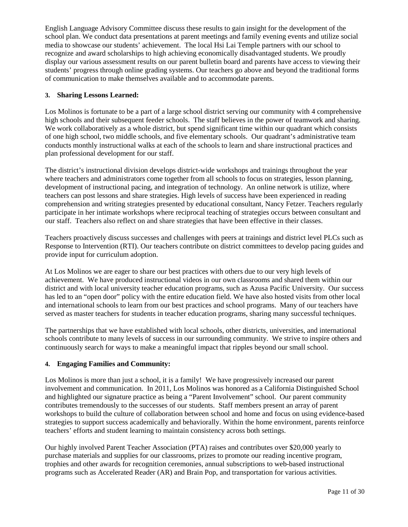English Language Advisory Committee discuss these results to gain insight for the development of the school plan. We conduct data presentations at parent meetings and family evening events and utilize social media to showcase our students' achievement. The local Hsi Lai Temple partners with our school to recognize and award scholarships to high achieving economically disadvantaged students. We proudly display our various assessment results on our parent bulletin board and parents have access to viewing their students' progress through online grading systems. Our teachers go above and beyond the traditional forms of communication to make themselves available and to accommodate parents.

#### **3. Sharing Lessons Learned:**

Los Molinos is fortunate to be a part of a large school district serving our community with 4 comprehensive high schools and their subsequent feeder schools. The staff believes in the power of teamwork and sharing. We work collaboratively as a whole district, but spend significant time within our quadrant which consists of one high school, two middle schools, and five elementary schools. Our quadrant's administrative team conducts monthly instructional walks at each of the schools to learn and share instructional practices and plan professional development for our staff.

The district's instructional division develops district-wide workshops and trainings throughout the year where teachers and administrators come together from all schools to focus on strategies, lesson planning, development of instructional pacing, and integration of technology. An online network is utilize, where teachers can post lessons and share strategies. High levels of success have been experienced in reading comprehension and writing strategies presented by educational consultant, Nancy Fetzer. Teachers regularly participate in her intimate workshops where reciprocal teaching of strategies occurs between consultant and our staff. Teachers also reflect on and share strategies that have been effective in their classes.

Teachers proactively discuss successes and challenges with peers at trainings and district level PLCs such as Response to Intervention (RTI). Our teachers contribute on district committees to develop pacing guides and provide input for curriculum adoption.

At Los Molinos we are eager to share our best practices with others due to our very high levels of achievement. We have produced instructional videos in our own classrooms and shared them within our district and with local university teacher education programs, such as Azusa Pacific University. Our success has led to an "open door" policy with the entire education field. We have also hosted visits from other local and international schools to learn from our best practices and school programs. Many of our teachers have served as master teachers for students in teacher education programs, sharing many successful techniques.

The partnerships that we have established with local schools, other districts, universities, and international schools contribute to many levels of success in our surrounding community. We strive to inspire others and continuously search for ways to make a meaningful impact that ripples beyond our small school.

#### **4. Engaging Families and Community:**

Los Molinos is more than just a school, it is a family! We have progressively increased our parent involvement and communication. In 2011, Los Molinos was honored as a California Distinguished School and highlighted our signature practice as being a "Parent Involvement" school. Our parent community contributes tremendously to the successes of our students. Staff members present an array of parent workshops to build the culture of collaboration between school and home and focus on using evidence-based strategies to support success academically and behaviorally. Within the home environment, parents reinforce teachers' efforts and student learning to maintain consistency across both settings.

Our highly involved Parent Teacher Association (PTA) raises and contributes over \$20,000 yearly to purchase materials and supplies for our classrooms, prizes to promote our reading incentive program, trophies and other awards for recognition ceremonies, annual subscriptions to web-based instructional programs such as Accelerated Reader (AR) and Brain Pop, and transportation for various activities.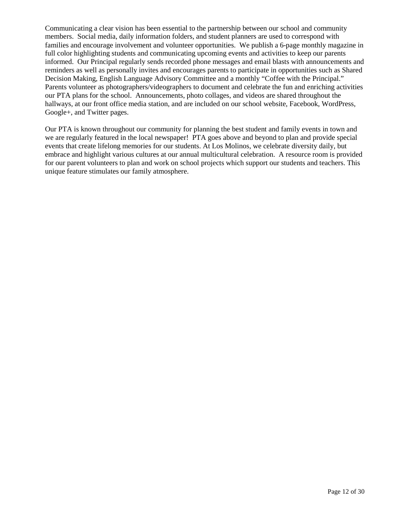Communicating a clear vision has been essential to the partnership between our school and community members. Social media, daily information folders, and student planners are used to correspond with families and encourage involvement and volunteer opportunities. We publish a 6-page monthly magazine in full color highlighting students and communicating upcoming events and activities to keep our parents informed. Our Principal regularly sends recorded phone messages and email blasts with announcements and reminders as well as personally invites and encourages parents to participate in opportunities such as Shared Decision Making, English Language Advisory Committee and a monthly "Coffee with the Principal." Parents volunteer as photographers/videographers to document and celebrate the fun and enriching activities our PTA plans for the school. Announcements, photo collages, and videos are shared throughout the hallways, at our front office media station, and are included on our school website, Facebook, WordPress, Google+, and Twitter pages.

Our PTA is known throughout our community for planning the best student and family events in town and we are regularly featured in the local newspaper! PTA goes above and beyond to plan and provide special events that create lifelong memories for our students. At Los Molinos, we celebrate diversity daily, but embrace and highlight various cultures at our annual multicultural celebration. A resource room is provided for our parent volunteers to plan and work on school projects which support our students and teachers. This unique feature stimulates our family atmosphere.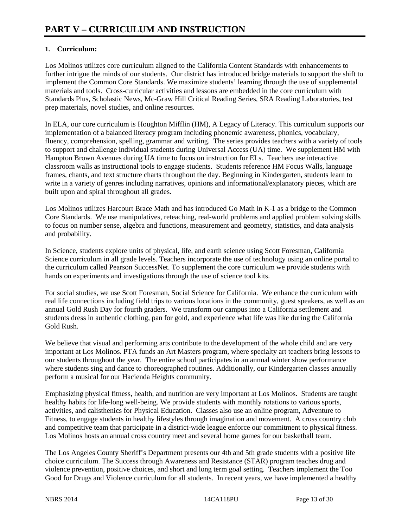### **1. Curriculum:**

Los Molinos utilizes core curriculum aligned to the California Content Standards with enhancements to further intrigue the minds of our students. Our district has introduced bridge materials to support the shift to implement the Common Core Standards. We maximize students' learning through the use of supplemental materials and tools. Cross-curricular activities and lessons are embedded in the core curriculum with Standards Plus, Scholastic News, Mc-Graw Hill Critical Reading Series, SRA Reading Laboratories, test prep materials, novel studies, and online resources.

In ELA, our core curriculum is Houghton Mifflin (HM), A Legacy of Literacy. This curriculum supports our implementation of a balanced literacy program including phonemic awareness, phonics, vocabulary, fluency, comprehension, spelling, grammar and writing. The series provides teachers with a variety of tools to support and challenge individual students during Universal Access (UA) time. We supplement HM with Hampton Brown Avenues during UA time to focus on instruction for ELs. Teachers use interactive classroom walls as instructional tools to engage students. Students reference HM Focus Walls, language frames, chants, and text structure charts throughout the day. Beginning in Kindergarten, students learn to write in a variety of genres including narratives, opinions and informational/explanatory pieces, which are built upon and spiral throughout all grades.

Los Molinos utilizes Harcourt Brace Math and has introduced Go Math in K-1 as a bridge to the Common Core Standards. We use manipulatives, reteaching, real-world problems and applied problem solving skills to focus on number sense, algebra and functions, measurement and geometry, statistics, and data analysis and probability.

In Science, students explore units of physical, life, and earth science using Scott Foresman, California Science curriculum in all grade levels. Teachers incorporate the use of technology using an online portal to the curriculum called Pearson SuccessNet. To supplement the core curriculum we provide students with hands on experiments and investigations through the use of science tool kits.

For social studies, we use Scott Foresman, Social Science for California. We enhance the curriculum with real life connections including field trips to various locations in the community, guest speakers, as well as an annual Gold Rush Day for fourth graders. We transform our campus into a California settlement and students dress in authentic clothing, pan for gold, and experience what life was like during the California Gold Rush.

We believe that visual and performing arts contribute to the development of the whole child and are very important at Los Molinos. PTA funds an Art Masters program, where specialty art teachers bring lessons to our students throughout the year. The entire school participates in an annual winter show performance where students sing and dance to choreographed routines. Additionally, our Kindergarten classes annually perform a musical for our Hacienda Heights community.

Emphasizing physical fitness, health, and nutrition are very important at Los Molinos. Students are taught healthy habits for life-long well-being. We provide students with monthly rotations to various sports, activities, and calisthenics for Physical Education. Classes also use an online program, Adventure to Fitness, to engage students in healthy lifestyles through imagination and movement. A cross country club and competitive team that participate in a district-wide league enforce our commitment to physical fitness. Los Molinos hosts an annual cross country meet and several home games for our basketball team.

The Los Angeles County Sheriff's Department presents our 4th and 5th grade students with a positive life choice curriculum. The Success through Awareness and Resistance (STAR) program teaches drug and violence prevention, positive choices, and short and long term goal setting. Teachers implement the Too Good for Drugs and Violence curriculum for all students. In recent years, we have implemented a healthy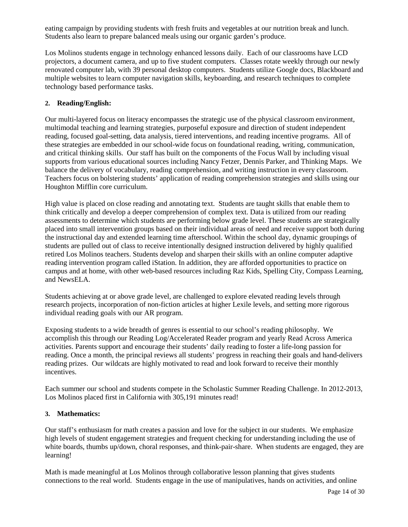eating campaign by providing students with fresh fruits and vegetables at our nutrition break and lunch. Students also learn to prepare balanced meals using our organic garden's produce.

Los Molinos students engage in technology enhanced lessons daily. Each of our classrooms have LCD projectors, a document camera, and up to five student computers. Classes rotate weekly through our newly renovated computer lab, with 39 personal desktop computers. Students utilize Google docs, Blackboard and multiple websites to learn computer navigation skills, keyboarding, and research techniques to complete technology based performance tasks.

#### **2. Reading/English:**

Our multi-layered focus on literacy encompasses the strategic use of the physical classroom environment, multimodal teaching and learning strategies, purposeful exposure and direction of student independent reading, focused goal-setting, data analysis, tiered interventions, and reading incentive programs. All of these strategies are embedded in our school-wide focus on foundational reading, writing, communication, and critical thinking skills. Our staff has built on the components of the Focus Wall by including visual supports from various educational sources including Nancy Fetzer, Dennis Parker, and Thinking Maps. We balance the delivery of vocabulary, reading comprehension, and writing instruction in every classroom. Teachers focus on bolstering students' application of reading comprehension strategies and skills using our Houghton Mifflin core curriculum.

High value is placed on close reading and annotating text. Students are taught skills that enable them to think critically and develop a deeper comprehension of complex text. Data is utilized from our reading assessments to determine which students are performing below grade level. These students are strategically placed into small intervention groups based on their individual areas of need and receive support both during the instructional day and extended learning time afterschool. Within the school day, dynamic groupings of students are pulled out of class to receive intentionally designed instruction delivered by highly qualified retired Los Molinos teachers. Students develop and sharpen their skills with an online computer adaptive reading intervention program called iStation. In addition, they are afforded opportunities to practice on campus and at home, with other web-based resources including Raz Kids, Spelling City, Compass Learning, and NewsELA.

Students achieving at or above grade level, are challenged to explore elevated reading levels through research projects, incorporation of non-fiction articles at higher Lexile levels, and setting more rigorous individual reading goals with our AR program.

Exposing students to a wide breadth of genres is essential to our school's reading philosophy. We accomplish this through our Reading Log/Accelerated Reader program and yearly Read Across America activities. Parents support and encourage their students' daily reading to foster a life-long passion for reading. Once a month, the principal reviews all students' progress in reaching their goals and hand-delivers reading prizes. Our wildcats are highly motivated to read and look forward to receive their monthly incentives.

Each summer our school and students compete in the Scholastic Summer Reading Challenge. In 2012-2013, Los Molinos placed first in California with 305,191 minutes read!

#### **3. Mathematics:**

Our staff's enthusiasm for math creates a passion and love for the subject in our students. We emphasize high levels of student engagement strategies and frequent checking for understanding including the use of white boards, thumbs up/down, choral responses, and think-pair-share. When students are engaged, they are learning!

Math is made meaningful at Los Molinos through collaborative lesson planning that gives students connections to the real world. Students engage in the use of manipulatives, hands on activities, and online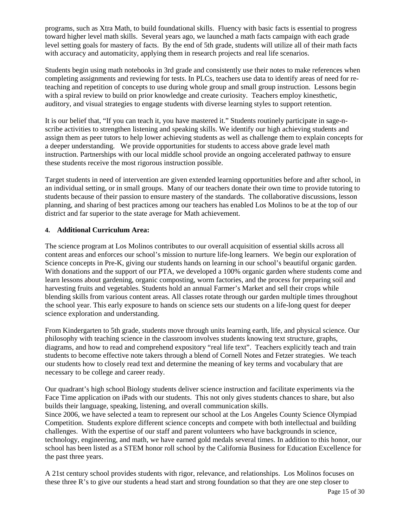programs, such as Xtra Math, to build foundational skills. Fluency with basic facts is essential to progress toward higher level math skills. Several years ago, we launched a math facts campaign with each grade level setting goals for mastery of facts. By the end of 5th grade, students will utilize all of their math facts with accuracy and automaticity, applying them in research projects and real life scenarios.

Students begin using math notebooks in 3rd grade and consistently use their notes to make references when completing assignments and reviewing for tests. In PLCs, teachers use data to identify areas of need for reteaching and repetition of concepts to use during whole group and small group instruction. Lessons begin with a spiral review to build on prior knowledge and create curiosity. Teachers employ kinesthetic, auditory, and visual strategies to engage students with diverse learning styles to support retention.

It is our belief that, "If you can teach it, you have mastered it." Students routinely participate in sage-nscribe activities to strengthen listening and speaking skills. We identify our high achieving students and assign them as peer tutors to help lower achieving students as well as challenge them to explain concepts for a deeper understanding. We provide opportunities for students to access above grade level math instruction. Partnerships with our local middle school provide an ongoing accelerated pathway to ensure these students receive the most rigorous instruction possible.

Target students in need of intervention are given extended learning opportunities before and after school, in an individual setting, or in small groups. Many of our teachers donate their own time to provide tutoring to students because of their passion to ensure mastery of the standards. The collaborative discussions, lesson planning, and sharing of best practices among our teachers has enabled Los Molinos to be at the top of our district and far superior to the state average for Math achievement.

#### **4. Additional Curriculum Area:**

The science program at Los Molinos contributes to our overall acquisition of essential skills across all content areas and enforces our school's mission to nurture life-long learners. We begin our exploration of Science concepts in Pre-K, giving our students hands on learning in our school's beautiful organic garden. With donations and the support of our PTA, we developed a 100% organic garden where students come and learn lessons about gardening, organic composting, worm factories, and the process for preparing soil and harvesting fruits and vegetables. Students hold an annual Farmer's Market and sell their crops while blending skills from various content areas. All classes rotate through our garden multiple times throughout the school year. This early exposure to hands on science sets our students on a life-long quest for deeper science exploration and understanding.

From Kindergarten to 5th grade, students move through units learning earth, life, and physical science. Our philosophy with teaching science in the classroom involves students knowing text structure, graphs, diagrams, and how to read and comprehend expository "real life text". Teachers explicitly teach and train students to become effective note takers through a blend of Cornell Notes and Fetzer strategies. We teach our students how to closely read text and determine the meaning of key terms and vocabulary that are necessary to be college and career ready.

Our quadrant's high school Biology students deliver science instruction and facilitate experiments via the Face Time application on iPads with our students. This not only gives students chances to share, but also builds their language, speaking, listening, and overall communication skills.

Since 2006, we have selected a team to represent our school at the Los Angeles County Science Olympiad Competition. Students explore different science concepts and compete with both intellectual and building challenges. With the expertise of our staff and parent volunteers who have backgrounds in science, technology, engineering, and math, we have earned gold medals several times. In addition to this honor, our school has been listed as a STEM honor roll school by the California Business for Education Excellence for the past three years.

A 21st century school provides students with rigor, relevance, and relationships. Los Molinos focuses on these three R's to give our students a head start and strong foundation so that they are one step closer to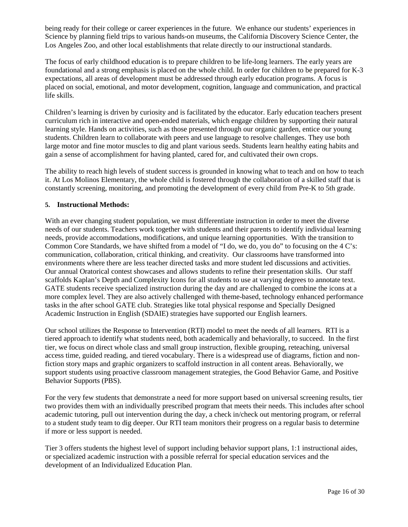being ready for their college or career experiences in the future. We enhance our students' experiences in Science by planning field trips to various hands-on museums, the California Discovery Science Center, the Los Angeles Zoo, and other local establishments that relate directly to our instructional standards.

The focus of early childhood education is to prepare children to be life-long learners. The early years are foundational and a strong emphasis is placed on the whole child. In order for children to be prepared for K-3 expectations, all areas of development must be addressed through early education programs. A focus is placed on social, emotional, and motor development, cognition, language and communication, and practical life skills.

Children's learning is driven by curiosity and is facilitated by the educator. Early education teachers present curriculum rich in interactive and open-ended materials, which engage children by supporting their natural learning style. Hands on activities, such as those presented through our organic garden, entice our young students. Children learn to collaborate with peers and use language to resolve challenges. They use both large motor and fine motor muscles to dig and plant various seeds. Students learn healthy eating habits and gain a sense of accomplishment for having planted, cared for, and cultivated their own crops.

The ability to reach high levels of student success is grounded in knowing what to teach and on how to teach it. At Los Molinos Elementary, the whole child is fostered through the collaboration of a skilled staff that is constantly screening, monitoring, and promoting the development of every child from Pre-K to 5th grade.

#### **5. Instructional Methods:**

With an ever changing student population, we must differentiate instruction in order to meet the diverse needs of our students. Teachers work together with students and their parents to identify individual learning needs, provide accommodations, modifications, and unique learning opportunities. With the transition to Common Core Standards, we have shifted from a model of "I do, we do, you do" to focusing on the 4 C's: communication, collaboration, critical thinking, and creativity. Our classrooms have transformed into environments where there are less teacher directed tasks and more student led discussions and activities. Our annual Oratorical contest showcases and allows students to refine their presentation skills. Our staff scaffolds Kaplan's Depth and Complexity Icons for all students to use at varying degrees to annotate text. GATE students receive specialized instruction during the day and are challenged to combine the icons at a more complex level. They are also actively challenged with theme-based, technology enhanced performance tasks in the after school GATE club. Strategies like total physical response and Specially Designed Academic Instruction in English (SDAIE) strategies have supported our English learners.

Our school utilizes the Response to Intervention (RTI) model to meet the needs of all learners. RTI is a tiered approach to identify what students need, both academically and behaviorally, to succeed. In the first tier, we focus on direct whole class and small group instruction, flexible grouping, reteaching, universal access time, guided reading, and tiered vocabulary. There is a widespread use of diagrams, fiction and nonfiction story maps and graphic organizers to scaffold instruction in all content areas. Behaviorally, we support students using proactive classroom management strategies, the Good Behavior Game, and Positive Behavior Supports (PBS).

For the very few students that demonstrate a need for more support based on universal screening results, tier two provides them with an individually prescribed program that meets their needs. This includes after school academic tutoring, pull out intervention during the day, a check in/check out mentoring program, or referral to a student study team to dig deeper. Our RTI team monitors their progress on a regular basis to determine if more or less support is needed.

Tier 3 offers students the highest level of support including behavior support plans, 1:1 instructional aides, or specialized academic instruction with a possible referral for special education services and the development of an Individualized Education Plan.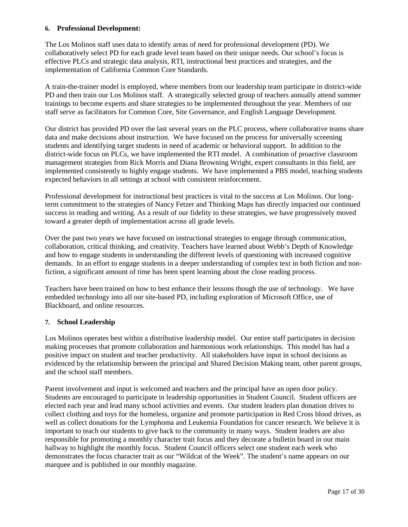#### **6. Professional Development:**

The Los Molinos staff uses data to identify areas of need for professional development (PD). We collaboratively select PD for each grade level team based on their unique needs. Our school's focus is effective PLCs and strategic data analysis, RTI, instructional best practices and strategies, and the implementation of California Common Core Standards.

A train-the-trainer model is employed, where members from our leadership team participate in district-wide PD and then train our Los Molinos staff. A strategically selected group of teachers annually attend summer trainings to become experts and share strategies to be implemented throughout the year. Members of our staff serve as facilitators for Common Core, Site Governance, and English Language Development.

Our district has provided PD over the last several years on the PLC process, where collaborative teams share data and make decisions about instruction. We have focused on the process for universally screening students and identifying target students in need of academic or behavioral support. In addition to the district-wide focus on PLCs, we have implemented the RTI model. A combination of proactive classroom management strategies from Rick Morris and Diana Browning Wright, expert consultants in this field, are implemented consistently to highly engage students. We have implemented a PBS model, teaching students expected behaviors in all settings at school with consistent reinforcement.

Professional development for instructional best practices is vital to the success at Los Molinos. Our longterm commitment to the strategies of Nancy Fetzer and Thinking Maps has directly impacted our continued success in reading and writing. As a result of our fidelity to these strategies, we have progressively moved toward a greater depth of implementation across all grade levels.

Over the past two years we have focused on instructional strategies to engage through communication, collaboration, critical thinking, and creativity. Teachers have learned about Webb's Depth of Knowledge and how to engage students in understanding the different levels of questioning with increased cognitive demands. In an effort to engage students in a deeper understanding of complex text in both fiction and nonfiction, a significant amount of time has been spent learning about the close reading process.

Teachers have been trained on how to best enhance their lessons though the use of technology. We have embedded technology into all our site-based PD, including exploration of Microsoft Office, use of Blackboard, and online resources.

#### **7. School Leadership**

Los Molinos operates best within a distributive leadership model. Our entire staff participates in decision making processes that promote collaboration and harmonious work relationships. This model has had a positive impact on student and teacher productivity. All stakeholders have input in school decisions as evidenced by the relationship between the principal and Shared Decision Making team, other parent groups, and the school staff members.

Parent involvement and input is welcomed and teachers and the principal have an open door policy. Students are encouraged to participate in leadership opportunities in Student Council. Student officers are elected each year and lead many school activities and events. Our student leaders plan donation drives to collect clothing and toys for the homeless, organize and promote participation in Red Cross blood drives, as well as collect donations for the Lymphoma and Leukemia Foundation for cancer research. We believe it is important to teach our students to give back to the community in many ways. Student leaders are also responsible for promoting a monthly character trait focus and they decorate a bulletin board in our main hallway to highlight the monthly focus. Student Council officers select one student each week who demonstrates the focus character trait as our "Wildcat of the Week". The student's name appears on our marquee and is published in our monthly magazine.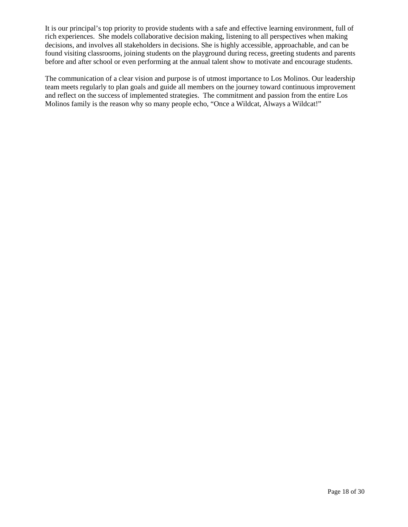It is our principal's top priority to provide students with a safe and effective learning environment, full of rich experiences. She models collaborative decision making, listening to all perspectives when making decisions, and involves all stakeholders in decisions. She is highly accessible, approachable, and can be found visiting classrooms, joining students on the playground during recess, greeting students and parents before and after school or even performing at the annual talent show to motivate and encourage students.

The communication of a clear vision and purpose is of utmost importance to Los Molinos. Our leadership team meets regularly to plan goals and guide all members on the journey toward continuous improvement and reflect on the success of implemented strategies. The commitment and passion from the entire Los Molinos family is the reason why so many people echo, "Once a Wildcat, Always a Wildcat!"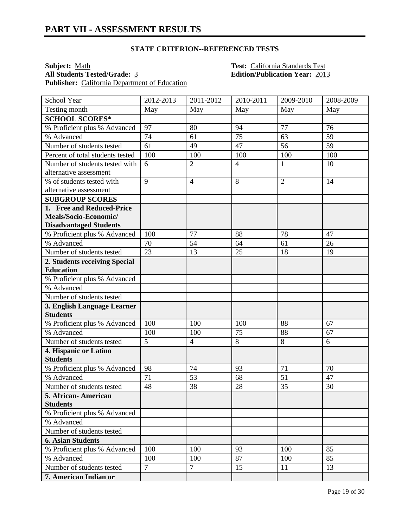**Subject:** <u>Math **Test:** California Standards Test</u><br> **All Students Tested/Grade:** 3 **Edition/Publication Year:** 201 Publisher: California Department of Education

**All Students Tested/Grade:** 3 **Edition/Publication Year:** 2013

| School Year                      | 2012-2013      | 2011-2012      | 2010-2011      | 2009-2010      | 2008-2009 |
|----------------------------------|----------------|----------------|----------------|----------------|-----------|
| Testing month                    | May            | May            | May            | May            | May       |
| <b>SCHOOL SCORES*</b>            |                |                |                |                |           |
| % Proficient plus % Advanced     | 97             | 80             | 94             | 77             | 76        |
| % Advanced                       | 74             | 61             | 75             | 63             | 59        |
| Number of students tested        | 61             | 49             | 47             | 56             | 59        |
| Percent of total students tested | 100            | 100            | 100            | 100            | 100       |
| Number of students tested with   | 6              | $\overline{2}$ | $\overline{4}$ | $\mathbf{1}$   | 10        |
| alternative assessment           |                |                |                |                |           |
| % of students tested with        | 9              | $\overline{4}$ | 8              | $\overline{2}$ | 14        |
| alternative assessment           |                |                |                |                |           |
| <b>SUBGROUP SCORES</b>           |                |                |                |                |           |
| 1. Free and Reduced-Price        |                |                |                |                |           |
| Meals/Socio-Economic/            |                |                |                |                |           |
| <b>Disadvantaged Students</b>    |                |                |                |                |           |
| % Proficient plus % Advanced     | 100            | 77             | 88             | 78             | 47        |
| % Advanced                       | 70             | 54             | 64             | 61             | 26        |
| Number of students tested        | 23             | 13             | 25             | 18             | 19        |
| 2. Students receiving Special    |                |                |                |                |           |
| <b>Education</b>                 |                |                |                |                |           |
| % Proficient plus % Advanced     |                |                |                |                |           |
| % Advanced                       |                |                |                |                |           |
| Number of students tested        |                |                |                |                |           |
| 3. English Language Learner      |                |                |                |                |           |
| <b>Students</b>                  |                |                |                |                |           |
| % Proficient plus % Advanced     | 100            | 100            | 100            | 88             | 67        |
| % Advanced                       | 100            | 100            | 75             | 88             | 67        |
| Number of students tested        | $\overline{5}$ | $\overline{4}$ | $\overline{8}$ | 8              | 6         |
| 4. Hispanic or Latino            |                |                |                |                |           |
| <b>Students</b>                  |                |                |                |                |           |
| % Proficient plus % Advanced     | 98             | 74             | 93             | 71             | 70        |
| % Advanced                       | 71             | 53             | 68             | 51             | 47        |
| Number of students tested        | 48             | 38             | 28             | 35             | 30        |
| 5. African- American             |                |                |                |                |           |
| <b>Students</b>                  |                |                |                |                |           |
| % Proficient plus % Advanced     |                |                |                |                |           |
| % Advanced                       |                |                |                |                |           |
| Number of students tested        |                |                |                |                |           |
| <b>6. Asian Students</b>         |                |                |                |                |           |
| % Proficient plus % Advanced     | 100            | 100            | 93             | 100            | 85        |
| % Advanced                       | 100            | 100            | 87             | 100            | 85        |
| Number of students tested        | $\overline{7}$ | $\overline{7}$ | 15             | 11             | 13        |
| 7. American Indian or            |                |                |                |                |           |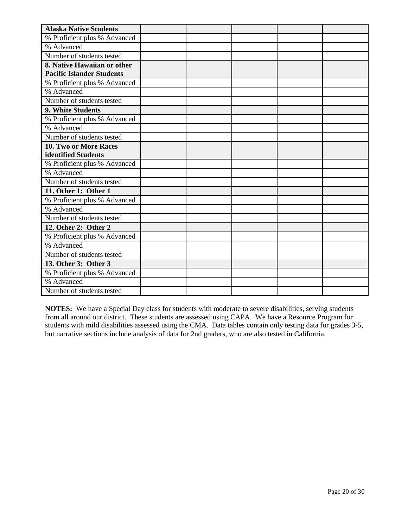| <b>Alaska Native Students</b>    |  |  |  |
|----------------------------------|--|--|--|
| % Proficient plus % Advanced     |  |  |  |
| % Advanced                       |  |  |  |
| Number of students tested        |  |  |  |
| 8. Native Hawaiian or other      |  |  |  |
| <b>Pacific Islander Students</b> |  |  |  |
| % Proficient plus % Advanced     |  |  |  |
| % Advanced                       |  |  |  |
| Number of students tested        |  |  |  |
| 9. White Students                |  |  |  |
| % Proficient plus % Advanced     |  |  |  |
| % Advanced                       |  |  |  |
| Number of students tested        |  |  |  |
| 10. Two or More Races            |  |  |  |
| identified Students              |  |  |  |
| % Proficient plus % Advanced     |  |  |  |
| % Advanced                       |  |  |  |
| Number of students tested        |  |  |  |
| 11. Other 1: Other 1             |  |  |  |
| % Proficient plus % Advanced     |  |  |  |
| % Advanced                       |  |  |  |
| Number of students tested        |  |  |  |
| 12. Other 2: Other 2             |  |  |  |
| % Proficient plus % Advanced     |  |  |  |
| % Advanced                       |  |  |  |
| Number of students tested        |  |  |  |
| 13. Other 3: Other 3             |  |  |  |
| % Proficient plus % Advanced     |  |  |  |
| % Advanced                       |  |  |  |
| Number of students tested        |  |  |  |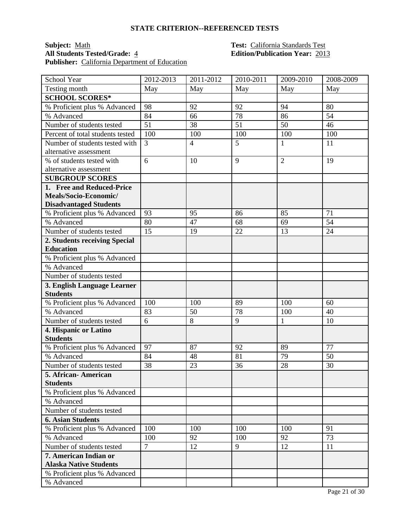### **Subject:** <u>Math **Test:** California Standards Test</u><br> **All Students Tested/Grade:** 4 **Edition/Publication Year:** 201 Publisher: California Department of Education

# **All Students Tested/Grade:** 4 **Edition/Publication Year:** 2013

| School Year                                | 2012-2013      | 2011-2012      | 2010-2011 | 2009-2010      | 2008-2009 |
|--------------------------------------------|----------------|----------------|-----------|----------------|-----------|
| Testing month                              | May            | May            | May       | May            | May       |
| <b>SCHOOL SCORES*</b>                      |                |                |           |                |           |
| % Proficient plus % Advanced               | 98             | 92             | 92        | 94             | 80        |
| % Advanced                                 | 84             | 66             | 78        | 86             | 54        |
| Number of students tested                  | 51             | 38             | 51        | 50             | 46        |
| Percent of total students tested           | 100            | 100            | 100       | 100            | 100       |
| Number of students tested with             | 3              | $\overline{4}$ | 5         | 1              | 11        |
| alternative assessment                     |                |                |           |                |           |
| % of students tested with                  | 6              | 10             | 9         | $\overline{2}$ | 19        |
| alternative assessment                     |                |                |           |                |           |
| <b>SUBGROUP SCORES</b>                     |                |                |           |                |           |
| 1. Free and Reduced-Price                  |                |                |           |                |           |
| Meals/Socio-Economic/                      |                |                |           |                |           |
| <b>Disadvantaged Students</b>              |                |                |           |                |           |
| % Proficient plus % Advanced               | 93             | 95             | 86        | 85             | 71        |
| % Advanced                                 | 80             | 47             | 68        | 69             | 54        |
| Number of students tested                  | 15             | 19             | 22        | 13             | 24        |
| 2. Students receiving Special              |                |                |           |                |           |
| <b>Education</b>                           |                |                |           |                |           |
| % Proficient plus % Advanced<br>% Advanced |                |                |           |                |           |
| Number of students tested                  |                |                |           |                |           |
| 3. English Language Learner                |                |                |           |                |           |
| <b>Students</b>                            |                |                |           |                |           |
| % Proficient plus % Advanced               | 100            | 100            | 89        | 100            | 60        |
| % Advanced                                 | 83             | 50             | 78        | 100            | 40        |
| Number of students tested                  | 6              | 8              | 9         | $\mathbf{1}$   | 10        |
| 4. Hispanic or Latino                      |                |                |           |                |           |
| <b>Students</b>                            |                |                |           |                |           |
| % Proficient plus % Advanced               | 97             | 87             | 92        | 89             | 77        |
| % Advanced                                 | 84             | 48             | 81        | 79             | 50        |
| Number of students tested                  | 38             | 23             | 36        | 28             | 30        |
| 5. African-American                        |                |                |           |                |           |
| <b>Students</b>                            |                |                |           |                |           |
| % Proficient plus % Advanced               |                |                |           |                |           |
| % Advanced                                 |                |                |           |                |           |
| Number of students tested                  |                |                |           |                |           |
| <b>6. Asian Students</b>                   |                |                |           |                |           |
| % Proficient plus % Advanced               | 100            | 100            | 100       | 100            | 91        |
| % Advanced                                 | 100            | 92             | 100       | 92             | 73        |
| Number of students tested                  | $\overline{7}$ | 12             | 9         | 12             | 11        |
| 7. American Indian or                      |                |                |           |                |           |
| <b>Alaska Native Students</b>              |                |                |           |                |           |
| % Proficient plus % Advanced               |                |                |           |                |           |
| % Advanced                                 |                |                |           |                |           |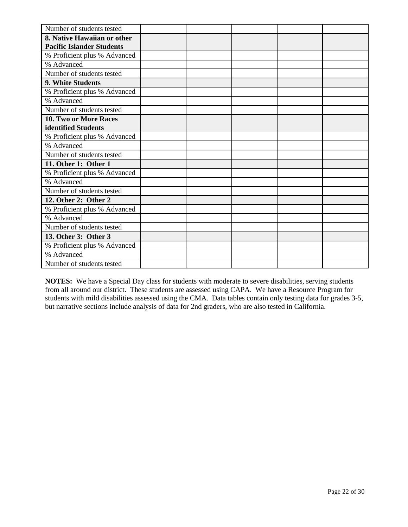| Number of students tested        |  |  |  |
|----------------------------------|--|--|--|
| 8. Native Hawaiian or other      |  |  |  |
| <b>Pacific Islander Students</b> |  |  |  |
| % Proficient plus % Advanced     |  |  |  |
| % Advanced                       |  |  |  |
| Number of students tested        |  |  |  |
| 9. White Students                |  |  |  |
| % Proficient plus % Advanced     |  |  |  |
| % Advanced                       |  |  |  |
| Number of students tested        |  |  |  |
| 10. Two or More Races            |  |  |  |
| identified Students              |  |  |  |
| % Proficient plus % Advanced     |  |  |  |
| % Advanced                       |  |  |  |
| Number of students tested        |  |  |  |
| 11. Other 1: Other 1             |  |  |  |
| % Proficient plus % Advanced     |  |  |  |
| % Advanced                       |  |  |  |
| Number of students tested        |  |  |  |
| 12. Other 2: Other 2             |  |  |  |
| % Proficient plus % Advanced     |  |  |  |
| % Advanced                       |  |  |  |
| Number of students tested        |  |  |  |
| 13. Other 3: Other 3             |  |  |  |
| % Proficient plus % Advanced     |  |  |  |
| % Advanced                       |  |  |  |
| Number of students tested        |  |  |  |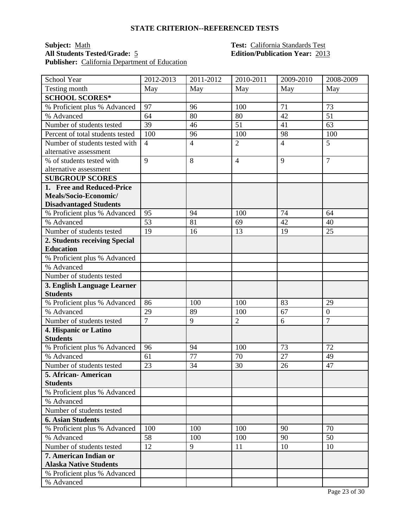#### **Subject:** <u>Math **Test:** California Standards Test</u><br> **All Students Tested/Grade:** 5 **Test:** California Standards Test<br> **Edition/Publication Year:** 2013 **All Students Tested/Grade:** 5 **Edition/Publication Year:** 2013 **Publisher:** California Department of Education

| School Year                      | 2012-2013      | 2011-2012      | 2010-2011      | 2009-2010      | 2008-2009        |
|----------------------------------|----------------|----------------|----------------|----------------|------------------|
| Testing month                    | May            | May            | May            | May            | May              |
| <b>SCHOOL SCORES*</b>            |                |                |                |                |                  |
| % Proficient plus % Advanced     | 97             | 96             | 100            | 71             | 73               |
| % Advanced                       | 64             | 80             | 80             | 42             | 51               |
| Number of students tested        | 39             | 46             | 51             | 41             | 63               |
| Percent of total students tested | 100            | 96             | 100            | 98             | 100              |
| Number of students tested with   | $\overline{4}$ | $\overline{4}$ | $\overline{2}$ | $\overline{4}$ | 5                |
| alternative assessment           |                |                |                |                |                  |
| % of students tested with        | 9              | 8              | $\overline{4}$ | 9              | $\overline{7}$   |
| alternative assessment           |                |                |                |                |                  |
| <b>SUBGROUP SCORES</b>           |                |                |                |                |                  |
| 1. Free and Reduced-Price        |                |                |                |                |                  |
| Meals/Socio-Economic/            |                |                |                |                |                  |
| <b>Disadvantaged Students</b>    |                |                |                |                |                  |
| % Proficient plus % Advanced     | 95             | 94             | 100            | 74             | 64               |
| % Advanced                       | 53             | 81             | 69             | 42             | 40               |
| Number of students tested        | 19             | 16             | 13             | 19             | 25               |
| 2. Students receiving Special    |                |                |                |                |                  |
| <b>Education</b>                 |                |                |                |                |                  |
| % Proficient plus % Advanced     |                |                |                |                |                  |
| % Advanced                       |                |                |                |                |                  |
| Number of students tested        |                |                |                |                |                  |
| 3. English Language Learner      |                |                |                |                |                  |
| <b>Students</b>                  |                |                |                |                |                  |
| % Proficient plus % Advanced     | 86             | 100            | 100            | 83             | 29               |
| % Advanced                       | 29             | 89             | 100            | 67             | $\boldsymbol{0}$ |
| Number of students tested        | $\overline{7}$ | 9              | $\overline{2}$ | 6              | $\overline{7}$   |
| 4. Hispanic or Latino            |                |                |                |                |                  |
| <b>Students</b>                  |                |                |                |                |                  |
| % Proficient plus % Advanced     | 96             | 94             | 100            | 73             | 72               |
| % Advanced                       | 61             | 77             | 70             | 27             | 49               |
| Number of students tested        | 23             | 34             | 30             | 26             | 47               |
| 5. African-American              |                |                |                |                |                  |
| <b>Students</b>                  |                |                |                |                |                  |
| % Proficient plus % Advanced     |                |                |                |                |                  |
| % Advanced                       |                |                |                |                |                  |
| Number of students tested        |                |                |                |                |                  |
| <b>6. Asian Students</b>         |                |                |                |                |                  |
| % Proficient plus % Advanced     | 100            | 100            | 100            | 90             | 70               |
| % Advanced                       | 58             | 100            | 100            | 90             | 50               |
| Number of students tested        | 12             | 9              | 11             | 10             | 10               |
| 7. American Indian or            |                |                |                |                |                  |
| <b>Alaska Native Students</b>    |                |                |                |                |                  |
| % Proficient plus % Advanced     |                |                |                |                |                  |
| % Advanced                       |                |                |                |                |                  |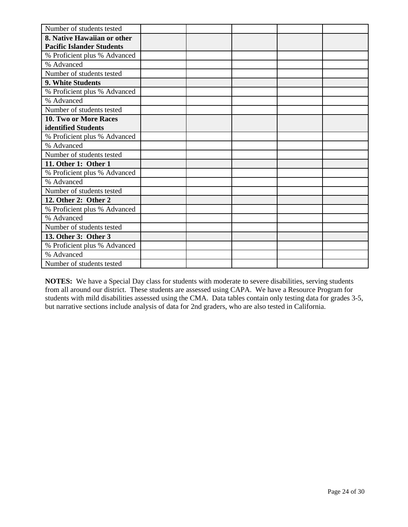| Number of students tested        |  |  |  |
|----------------------------------|--|--|--|
| 8. Native Hawaiian or other      |  |  |  |
| <b>Pacific Islander Students</b> |  |  |  |
| % Proficient plus % Advanced     |  |  |  |
| % Advanced                       |  |  |  |
| Number of students tested        |  |  |  |
| 9. White Students                |  |  |  |
| % Proficient plus % Advanced     |  |  |  |
| % Advanced                       |  |  |  |
| Number of students tested        |  |  |  |
| <b>10. Two or More Races</b>     |  |  |  |
| identified Students              |  |  |  |
| % Proficient plus % Advanced     |  |  |  |
| % Advanced                       |  |  |  |
| Number of students tested        |  |  |  |
| 11. Other 1: Other 1             |  |  |  |
| % Proficient plus % Advanced     |  |  |  |
| % Advanced                       |  |  |  |
| Number of students tested        |  |  |  |
| 12. Other 2: Other 2             |  |  |  |
| % Proficient plus % Advanced     |  |  |  |
| % Advanced                       |  |  |  |
| Number of students tested        |  |  |  |
| 13. Other 3: Other 3             |  |  |  |
| % Proficient plus % Advanced     |  |  |  |
| % Advanced                       |  |  |  |
| Number of students tested        |  |  |  |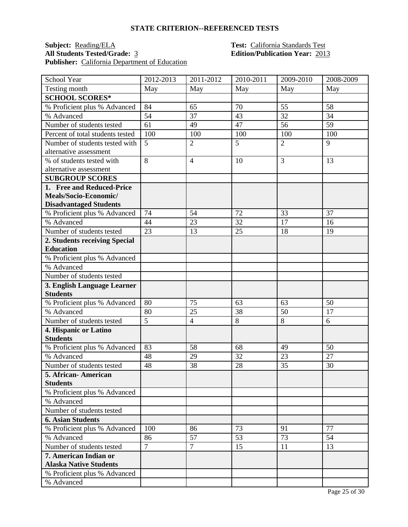# **Subject: Reading/ELA Test: California Standards Test**<br>**All Students Tested/Grade:** <u>3</u> **Test: California Standards Test** Publisher: California Department of Education

# **All Students Tested/Grade:** 3 **Edition/Publication Year:** 2013

| School Year                      | 2012-2013      | 2011-2012      | 2010-2011 | 2009-2010      | 2008-2009 |
|----------------------------------|----------------|----------------|-----------|----------------|-----------|
| Testing month                    | May            | May            | May       | May            | May       |
| <b>SCHOOL SCORES*</b>            |                |                |           |                |           |
| % Proficient plus % Advanced     | 84             | 65             | 70        | 55             | 58        |
| % Advanced                       | 54             | 37             | 43        | 32             | 34        |
| Number of students tested        | 61             | 49             | 47        | 56             | 59        |
| Percent of total students tested | 100            | 100            | 100       | 100            | 100       |
| Number of students tested with   | 5              | $\overline{2}$ | 5         | $\overline{2}$ | 9         |
| alternative assessment           |                |                |           |                |           |
| % of students tested with        | 8              | $\overline{4}$ | 10        | 3              | 13        |
| alternative assessment           |                |                |           |                |           |
| <b>SUBGROUP SCORES</b>           |                |                |           |                |           |
| 1. Free and Reduced-Price        |                |                |           |                |           |
| Meals/Socio-Economic/            |                |                |           |                |           |
| <b>Disadvantaged Students</b>    |                |                |           |                |           |
| % Proficient plus % Advanced     | 74             | 54             | 72        | 33             | 37        |
| % Advanced                       | 44             | 23             | 32        | 17             | 16        |
| Number of students tested        | 23             | 13             | 25        | 18             | 19        |
| 2. Students receiving Special    |                |                |           |                |           |
| <b>Education</b>                 |                |                |           |                |           |
| % Proficient plus % Advanced     |                |                |           |                |           |
| % Advanced                       |                |                |           |                |           |
| Number of students tested        |                |                |           |                |           |
| 3. English Language Learner      |                |                |           |                |           |
| <b>Students</b>                  |                |                |           |                |           |
| % Proficient plus % Advanced     | 80             | 75             | 63        | 63             | 50        |
| % Advanced                       | 80             | 25             | 38        | 50             | 17        |
| Number of students tested        | $\overline{5}$ | $\overline{4}$ | 8         | 8              | 6         |
| 4. Hispanic or Latino            |                |                |           |                |           |
| <b>Students</b>                  |                |                |           |                |           |
| % Proficient plus % Advanced     | 83             | 58             | 68        | 49             | 50        |
| % Advanced                       | 48             | 29             | 32        | 23             | 27        |
| Number of students tested        | 48             | 38             | 28        | 35             | 30        |
| 5. African-American              |                |                |           |                |           |
| <b>Students</b>                  |                |                |           |                |           |
| % Proficient plus % Advanced     |                |                |           |                |           |
| % Advanced                       |                |                |           |                |           |
| Number of students tested        |                |                |           |                |           |
| <b>6. Asian Students</b>         |                |                |           |                |           |
| % Proficient plus % Advanced     | 100            | 86             | 73        | 91             | 77        |
| % Advanced                       | 86             | 57             | 53        | 73             | 54        |
| Number of students tested        | $\overline{7}$ | $\overline{7}$ | 15        | 11             | 13        |
| 7. American Indian or            |                |                |           |                |           |
| <b>Alaska Native Students</b>    |                |                |           |                |           |
| % Proficient plus % Advanced     |                |                |           |                |           |
| % Advanced                       |                |                |           |                |           |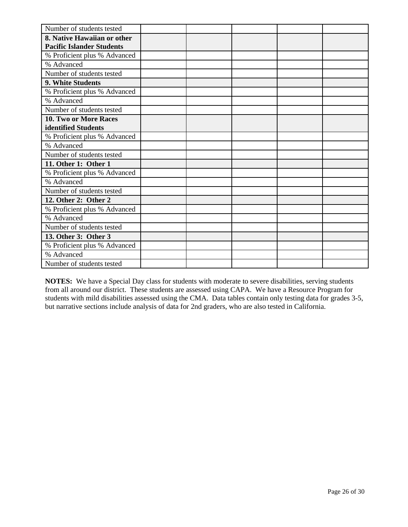| Number of students tested        |  |  |  |
|----------------------------------|--|--|--|
| 8. Native Hawaiian or other      |  |  |  |
| <b>Pacific Islander Students</b> |  |  |  |
| % Proficient plus % Advanced     |  |  |  |
| % Advanced                       |  |  |  |
| Number of students tested        |  |  |  |
| 9. White Students                |  |  |  |
| % Proficient plus % Advanced     |  |  |  |
| % Advanced                       |  |  |  |
| Number of students tested        |  |  |  |
| <b>10. Two or More Races</b>     |  |  |  |
| identified Students              |  |  |  |
| % Proficient plus % Advanced     |  |  |  |
| % Advanced                       |  |  |  |
| Number of students tested        |  |  |  |
| 11. Other 1: Other 1             |  |  |  |
| % Proficient plus % Advanced     |  |  |  |
| % Advanced                       |  |  |  |
| Number of students tested        |  |  |  |
| 12. Other 2: Other 2             |  |  |  |
| % Proficient plus % Advanced     |  |  |  |
| % Advanced                       |  |  |  |
| Number of students tested        |  |  |  |
| 13. Other 3: Other 3             |  |  |  |
| % Proficient plus % Advanced     |  |  |  |
| % Advanced                       |  |  |  |
| Number of students tested        |  |  |  |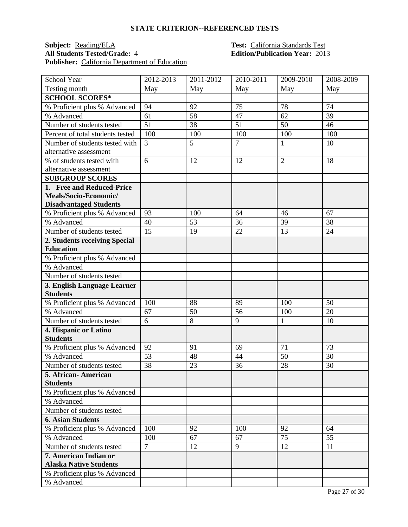# **Subject: Reading/ELA Test: California Standards Test**<br>**All Students Tested/Grade:** 4 **Edition/Publication Year:** 201 Publisher: California Department of Education

# **All Students Tested/Grade:** 4 **Edition/Publication Year:** 2013

| School Year                      | 2012-2013      | 2011-2012 | 2010-2011      | 2009-2010      | 2008-2009 |
|----------------------------------|----------------|-----------|----------------|----------------|-----------|
| Testing month                    | May            | May       | May            | May            | May       |
| <b>SCHOOL SCORES*</b>            |                |           |                |                |           |
| % Proficient plus % Advanced     | 94             | 92        | 75             | 78             | 74        |
| % Advanced                       | 61             | 58        | 47             | 62             | 39        |
| Number of students tested        | 51             | 38        | 51             | 50             | 46        |
| Percent of total students tested | 100            | 100       | 100            | 100            | 100       |
| Number of students tested with   | 3              | 5         | $\overline{7}$ | 1              | 10        |
| alternative assessment           |                |           |                |                |           |
| % of students tested with        | 6              | 12        | 12             | $\overline{2}$ | 18        |
| alternative assessment           |                |           |                |                |           |
| <b>SUBGROUP SCORES</b>           |                |           |                |                |           |
| 1. Free and Reduced-Price        |                |           |                |                |           |
| Meals/Socio-Economic/            |                |           |                |                |           |
| <b>Disadvantaged Students</b>    |                |           |                |                |           |
| % Proficient plus % Advanced     | 93             | 100       | 64             | 46             | 67        |
| % Advanced                       | 40             | 53        | 36             | 39             | 38        |
| Number of students tested        | 15             | 19        | 22             | 13             | 24        |
| 2. Students receiving Special    |                |           |                |                |           |
| <b>Education</b>                 |                |           |                |                |           |
| % Proficient plus % Advanced     |                |           |                |                |           |
| % Advanced                       |                |           |                |                |           |
| Number of students tested        |                |           |                |                |           |
| 3. English Language Learner      |                |           |                |                |           |
| <b>Students</b>                  |                |           |                |                |           |
| % Proficient plus % Advanced     | 100            | 88        | 89             | 100            | 50        |
| % Advanced                       | 67             | 50        | 56             | 100            | 20        |
| Number of students tested        | 6              | 8         | 9              | $\mathbf{1}$   | 10        |
| 4. Hispanic or Latino            |                |           |                |                |           |
| <b>Students</b>                  |                |           |                |                |           |
| % Proficient plus % Advanced     | 92             | 91        | 69             | 71             | 73        |
| % Advanced                       | 53             | 48        | 44             | 50             | 30        |
| Number of students tested        | 38             | 23        | 36             | 28             | 30        |
| 5. African-American              |                |           |                |                |           |
| <b>Students</b>                  |                |           |                |                |           |
| % Proficient plus % Advanced     |                |           |                |                |           |
| % Advanced                       |                |           |                |                |           |
| Number of students tested        |                |           |                |                |           |
| <b>6. Asian Students</b>         |                |           |                |                |           |
| % Proficient plus % Advanced     | 100            | 92        | 100            | 92             | 64        |
| % Advanced                       | 100            | 67        | 67             | 75             | 55        |
| Number of students tested        | $\overline{7}$ | 12        | 9              | 12             | 11        |
| 7. American Indian or            |                |           |                |                |           |
| <b>Alaska Native Students</b>    |                |           |                |                |           |
| % Proficient plus % Advanced     |                |           |                |                |           |
| % Advanced                       |                |           |                |                |           |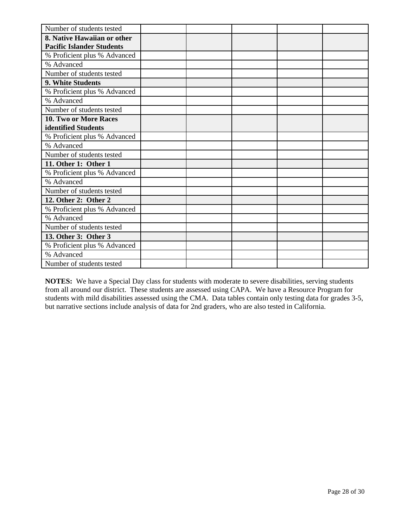| Number of students tested        |  |  |  |
|----------------------------------|--|--|--|
| 8. Native Hawaiian or other      |  |  |  |
| <b>Pacific Islander Students</b> |  |  |  |
| % Proficient plus % Advanced     |  |  |  |
| % Advanced                       |  |  |  |
| Number of students tested        |  |  |  |
| 9. White Students                |  |  |  |
| % Proficient plus % Advanced     |  |  |  |
| % Advanced                       |  |  |  |
| Number of students tested        |  |  |  |
| 10. Two or More Races            |  |  |  |
| identified Students              |  |  |  |
| % Proficient plus % Advanced     |  |  |  |
| % Advanced                       |  |  |  |
| Number of students tested        |  |  |  |
| 11. Other 1: Other 1             |  |  |  |
| % Proficient plus % Advanced     |  |  |  |
| % Advanced                       |  |  |  |
| Number of students tested        |  |  |  |
| 12. Other 2: Other 2             |  |  |  |
| % Proficient plus % Advanced     |  |  |  |
| % Advanced                       |  |  |  |
| Number of students tested        |  |  |  |
| 13. Other 3: Other 3             |  |  |  |
| % Proficient plus % Advanced     |  |  |  |
| % Advanced                       |  |  |  |
| Number of students tested        |  |  |  |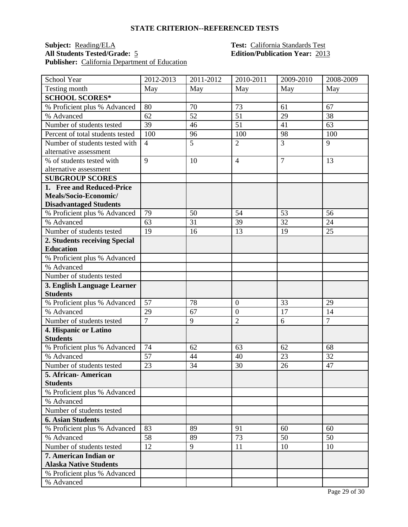### **Subject: Reading/ELA Test: California Standards Test**<br>**All Students Tested/Grade:** 5 **Edition/Publication Year:** 201 Publisher: California Department of Education

# **All Students Tested/Grade:** 5 **Edition/Publication Year:** 2013

| School Year                      | 2012-2013      | 2011-2012      | 2010-2011        | 2009-2010      | 2008-2009      |
|----------------------------------|----------------|----------------|------------------|----------------|----------------|
| Testing month                    | May            | May            | May              | May            | May            |
| <b>SCHOOL SCORES*</b>            |                |                |                  |                |                |
| % Proficient plus % Advanced     | 80             | 70             | 73               | 61             | 67             |
| % Advanced                       | 62             | 52             | 51               | 29             | 38             |
| Number of students tested        | 39             | 46             | 51               | 41             | 63             |
| Percent of total students tested | 100            | 96             | 100              | 98             | 100            |
| Number of students tested with   | $\overline{4}$ | $\overline{5}$ | $\overline{2}$   | $\overline{3}$ | 9              |
| alternative assessment           |                |                |                  |                |                |
| % of students tested with        | 9              | 10             | $\overline{4}$   | $\overline{7}$ | 13             |
| alternative assessment           |                |                |                  |                |                |
| <b>SUBGROUP SCORES</b>           |                |                |                  |                |                |
| 1. Free and Reduced-Price        |                |                |                  |                |                |
| Meals/Socio-Economic/            |                |                |                  |                |                |
| <b>Disadvantaged Students</b>    |                |                |                  |                |                |
| % Proficient plus % Advanced     | 79             | 50             | 54               | 53             | 56             |
| % Advanced                       | 63             | 31             | 39               | 32             | 24             |
| Number of students tested        | 19             | 16             | 13               | 19             | 25             |
| 2. Students receiving Special    |                |                |                  |                |                |
| <b>Education</b>                 |                |                |                  |                |                |
| % Proficient plus % Advanced     |                |                |                  |                |                |
| % Advanced                       |                |                |                  |                |                |
| Number of students tested        |                |                |                  |                |                |
| 3. English Language Learner      |                |                |                  |                |                |
| <b>Students</b>                  |                |                |                  |                |                |
| % Proficient plus % Advanced     | 57             | 78             | $\boldsymbol{0}$ | 33             | 29             |
| % Advanced                       | 29             | 67             | $\overline{0}$   | 17             | 14             |
| Number of students tested        | $\overline{7}$ | 9              | $\overline{2}$   | 6              | $\overline{7}$ |
| 4. Hispanic or Latino            |                |                |                  |                |                |
| <b>Students</b>                  |                |                |                  |                |                |
| % Proficient plus % Advanced     | 74             | 62             | 63               | 62             | 68             |
| % Advanced                       | 57             | 44             | 40               | 23             | 32             |
| Number of students tested        | 23             | 34             | 30               | 26             | 47             |
| 5. African- American             |                |                |                  |                |                |
| <b>Students</b>                  |                |                |                  |                |                |
| % Proficient plus % Advanced     |                |                |                  |                |                |
| % Advanced                       |                |                |                  |                |                |
| Number of students tested        |                |                |                  |                |                |
| <b>6. Asian Students</b>         |                |                |                  |                |                |
| % Proficient plus % Advanced     | 83             | 89             | 91               | 60             | 60             |
| % Advanced                       | 58             | 89             | 73               | 50             | 50             |
| Number of students tested        | 12             | 9              | 11               | 10             | 10             |
| 7. American Indian or            |                |                |                  |                |                |
| <b>Alaska Native Students</b>    |                |                |                  |                |                |
| % Proficient plus % Advanced     |                |                |                  |                |                |
| % Advanced                       |                |                |                  |                |                |